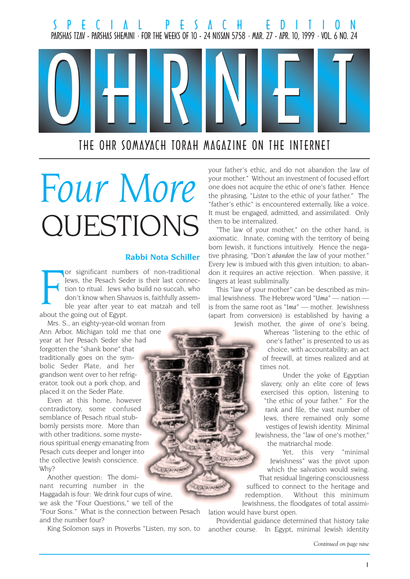

# QUESTIONS Four More

#### Rabbi Nota Schiller

**USLAND** 

F<br>about the or significant numbers of non-traditional Jews, the Pesach Seder is their last connection to ritual. Jews who build no succah, who don't know when Shavuos is, faithfully assemble year after year to eat matzah and tell about the going out of Egypt.

Mrs. S., an eighty-year-old woman from Ann Arbor, Michigan told me that one year at her Pesach Seder she had forgotten the "shank bone" that traditionally goes on the symbolic Seder Plate, and her grandson went over to her refrigerator, took out a pork chop, and placed it on the Seder Plate.

Even at this home, however contradictory, some confused semblance of Pesach ritual stubbornly persists more. More than with other traditions, some mysterious spiritual energy emanating from Pesach cuts deeper and longer into the collective Jewish conscience. Why?

Another question: The dominant recurring number in the Haggadah is four: We drink four cups of wine,

we ask the "Four Questions," we tell of the "Four Sons." What is the connection between Pesach and the number four?

King Solomon says in Proverbs "Listen, my son, to

your father's ethic, and do not abandon the law of your mother." Without an investment of focused effort one does not acquire the ethic of one's father. Hence the phrasing, "Listen to the ethic of your father." The "father's ethic" is encountered externally, like a voice. It must be engaged, admitted, and assimilated. Only then to be internalized.

"The law of your mother," on the other hand, is axiomatic. Innate, coming with the territory of being born Jewish, it functions intuitively. Hence the negative phrasing, "Don't abandon the law of your mother." Every Jew is imbued with this given intuition; to abandon it requires an active rejection. When passive, it lingers at least subliminally.

This "law of your mother" can be described as minimal Jewishness. The Hebrew word "Uma"  $-$  nation  $$ is from the same root as "Ima"  $-$  mother. Jewishness (apart from conversion) is established by having a

Jewish mother, the given of one's being. Whereas "listening to the ethic of one's father" is presented to us as choice, with accountability; an act of freewill, at times realized and at times not.

> Under the yoke of Egyptian slavery, only an elite core of Jews exercised this option, listening to "the ethic of your father." For the rank and file, the vast number of Jews, there remained only some vestiges of Jewish identity. Minimal Jewishness, the "law of one's mother," the matriarchal mode.

Yet, this very "minimal Jewishness" was the pivot upon which the salvation would swing. That residual lingering consciousness sufficed to connect to the heritage and redemption. Without this minimum Jewishness, the floodgates of total assimi-

lation would have burst open.

Chain

**CERCAINE** 

Providential guidance determined that history take another course. In Egypt, minimal Jewish identity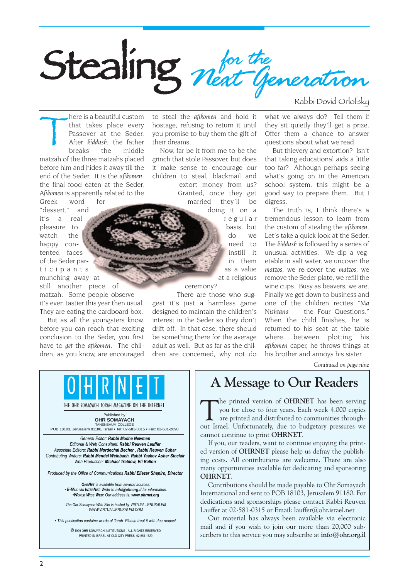

Rabbi Dovid Orlofsky

There is a beautiful custom<br>that takes place every<br>Passover at the Seder.<br>After kiddush, the father<br>breaks the middle that takes place every Passover at the Seder. After kiddush, the father breaks the middle matzah of the three matzahs placed before him and hides it away till the end of the Seder. It is the afikomen, the final food eaten at the Seder. Afikomen is apparently related to the Greek word for

"dessert," and its a real pleasure to watch the happy contented faces of the Seder participants munching away at still another piece of matzah. Some people observe it's even tastier this year then usual.

They are eating the cardboard box. But as all the youngsters know, before you can reach that exciting

conclusion to the Seder, you first have to get the afikomen. The children, as you know, are encouraged

to steal the afikomen and hold it hostage, refusing to return it until you promise to buy them the gift of their dreams.

Now, far be it from me to be the grinch that stole Passover, but does it make sense to encourage our children to steal, blackmail and extort money from us? Granted, once they get married they'll be

> doing it on a regular basis, but do we need to instill it in them as a value

> > at a religious

ceremony?

There are those who suggest it's just a harmless game designed to maintain the children's interest in the Seder so they don't drift off. In that case, there should be something there for the average adult as well. But as far as the children are concerned, why not do what we always do? Tell them if they sit quietly they'll get a prize. Offer them a chance to answer questions about what we read.

But thievery and extortion? Isn't that taking educational aids a little too far? Although perhaps seeing what's going on in the American school system, this might be a good way to prepare them. But I digress.

The truth is, I think there's a tremendous lesson to learn from the custom of stealing the afikomen. Let's take a quick look at the Seder. The kiddush is followed by a series of unusual activities. We dip a vegetable in salt water, we uncover the matzos, we re-cover the matzos, we remove the Seder plate, we refill the wine cups. Busy as beavers, we are. Finally we get down to business and one of the children recites "Ma Nishtana - the Four Questions." When the child finishes, he is returned to his seat at the table where, between plotting his afikomen caper, he throws things at his brother and annoys his sister.

Continued on page nine

## A Message to Our Readers

The printed version of **OHRNET** has been serving<br>you for close to four years. Each week 4,000 copies<br>are printed and distributed to communities through-<br>out Israel, Unfortunately, due to budgetom: pressures we you for close to four years. Each week 4,000 copies **L** are printed and distributed to communities throughout Israel. Unfortunately, due to budgetary pressures we cannot continue to print OHRNET.

If you, our readers, want to continue enjoying the printed version of OHRNET please help us defray the publishing costs. All contributions are welcome. There are also many opportunities available for dedicating and sponsoring OHRNET.

Contributions should be made payable to Ohr Somayach International and sent to POB 18103, Jerusalem 91180. For dedications and sponsorships please contact Rabbi Reuven Lauffer at 02-581-0315 or Email: lauffer@ohr.israel.net

Our material has always been available via electronic mail and if you wish to join our more than 20,000 subscribers to this service you may subscribe at info@ohr.org.il

General Editor: Rabbi Moshe Newman Editorial & Web Consultant: Rabbi Reuven Lauffer Associate Editors: Rabbi Mordechai Becher , Rabbi Reuven Subar Contributing Writers: Rabbi Mendel Weinbach, Rabbi Yaakov Asher Sinclair Web Production: Michael Treblow, Eli Ballon TANENBAUM COLLEGE POB 18103, Jerusalem 91180, Israel • Tel: 02-581-0315 • Fax: 02-581-2890

Published by **OHR SOMAYACH**

THE OHR SOMAYACH TORAH MAGAZINE ON THE INTERNET

0 | H | R | N | <del>E</del> | T

Produced by the Office of Communications Rabbi Eliezer Shapiro, Director

OHRNET is available from several sources: E-MAIL VIA INTERNET: Write to info@ohr.org.il for information. WORLD WIDE WEB: Our address is: www.ohrnet.org

The Ohr Somayach Web Site is hosted by VIRTUAL JERUSALEM WWW.VIRTUALJERUSALEM.COM

This publication contains words of Torah. Please treat it with due respect.

© 1999 OHR SOMAYACH INSTITUTIONS - ALL RIGHTS RESERVED PRINTED IN ISRAEL AT OLD CITY PRESS 02-651-1529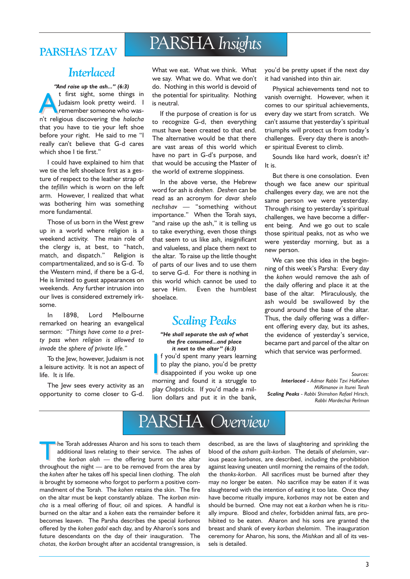## PARSHAS TZAV PARSHA Insights

### **Interlaced**

''And raise up the ash..." (6:3) t first sight, some things in<br>Judaism look pretty weird. I<br>remember someone who was-<br>n't religious discovering the halacha Judaism look pretty weird. I remember someone who wasn't religious discovering the halacha that you have to tie your left shoe before your right. He said to me "I really can't believe that G-d cares which shoe I tie first."

I could have explained to him that we tie the left shoelace first as a gesture of respect to the leather strap of the tefillin which is worn on the left arm. However, I realized that what was bothering him was something more fundamental.

Those of us born in the West grew up in a world where religion is a weekend activity. The main role of the clergy is, at best, to "hatch, match, and dispatch." Religion is compartmentalized, and so is G-d. To the Western mind, if there be a G-d, He is limited to guest appearances on weekends. Any further intrusion into our lives is considered extremely irksome.

In 1898, Lord Melbourne remarked on hearing an evangelical sermon: "Things have come to a pretty pass when religion is allowed to invade the sphere of private life.

To the Jew, however, Judaism is not a leisure activity. It is not an aspect of life. It is life.

The Jew sees every activity as an opportunity to come closer to G-d. What we eat. What we think. What we say. What we do. What we don't do. Nothing in this world is devoid of the potential for spirituality. Nothing is neutral.

If the purpose of creation is for us to recognize G-d, then everything must have been created to that end. The alternative would be that there are vast areas of this world which have no part in G-d's purpose, and that would be accusing the Master of the world of extreme sloppiness.

In the above verse, the Hebrew word for ash is deshen. Deshen can be read as an acronym for davar shelo  $nechshav$  - "something without importance." When the Torah says, "and raise up the ash," it is telling us to take everything, even those things that seem to us like ash, insignificant and valueless, and place them next to the altar. To raise up the little thought of parts of our lives and to use them to serve G-d. For there is nothing in this world which cannot be used to serve Him. Even the humblest shoelace.

## Scaling Peaks

"He shall separate the ash of what the fire consumed...and place it next to the altar"  $(6:3)$ 

If you'd spent many years learning<br>to play the piano, you'd be pretty<br>disappointed if you woke up one<br>morning and found it a struggle to f you'd spent many years learning to play the piano, you'd be pretty disappointed if you woke up one play Chopsticks. If you'd made a million dollars and put it in the bank, you'd be pretty upset if the next day it had vanished into thin air.

Physical achievements tend not to vanish overnight. However, when it comes to our spiritual achievements, every day we start from scratch. We can't assume that yesterday's spiritual triumphs will protect us from today's challenges. Every day there is another spiritual Everest to climb.

Sounds like hard work, doesn't it? It is.

But there is one consolation. Even though we face anew our spiritual challenges every day, we are not the same person we were yesterday. Through rising to yesterday's spiritual challenges, we have become a different being. And we go out to scale those spiritual peaks, not as who we were yesterday morning, but as a new person.

We can see this idea in the beginning of this week's Parsha: Every day the kohen would remove the ash of the daily offering and place it at the base of the altar. Miraculously, the ash would be swallowed by the ground around the base of the altar. Thus, the daily offering was a different offering every day, but its ashes, the evidence of yesterday's service, became part and parcel of the altar on which that service was performed.

Sources: Interlaced - Admor Rabbi Tzvi HaKohen MiRimanov in Iturei Torah Scaling Peaks - Rabbi Shimshon Rafael Hirsch, Rabbi Mordechai Perlman

## PARSHA Overview

The Torah addresses Aharon and his sons to teach them additional laws relating to their service. The ashes of the korban olah  $-$  the offering burnt on the altar throughout the night  $-$  are to be removed from the area by the kohen after he takes off his special linen clothing. The olah is brought by someone who forgot to perform a positive commandment of the Torah. The kohen retains the skin. The fire on the altar must be kept constantly ablaze. The korban mincha is a meal offering of flour, oil and spices. A handful is burned on the altar and a kohen eats the remainder before it becomes leaven. The Parsha describes the special korbanos offered by the kohen gadol each day, and by Aharon's sons and future descendants on the day of their inauguration. The chatas, the korban brought after an accidental transgression, is

described, as are the laws of slaughtering and sprinkling the blood of the asham guilt-korban. The details of shelamim, various peace korbanos, are described, including the prohibition against leaving uneaten until morning the remains of the todah, the thanks-korban. All sacrifices must be burned after they may no longer be eaten. No sacrifice may be eaten if it was slaughtered with the intention of eating it too late. Once they have become ritually impure, korbanos may not be eaten and should be burned. One may not eat a korban when he is ritually impure. Blood and chelev, forbidden animal fats, are prohibited to be eaten. Aharon and his sons are granted the breast and shank of every korban shelamim. The inauguration ceremony for Aharon, his sons, the Mishkan and all of its vessels is detailed.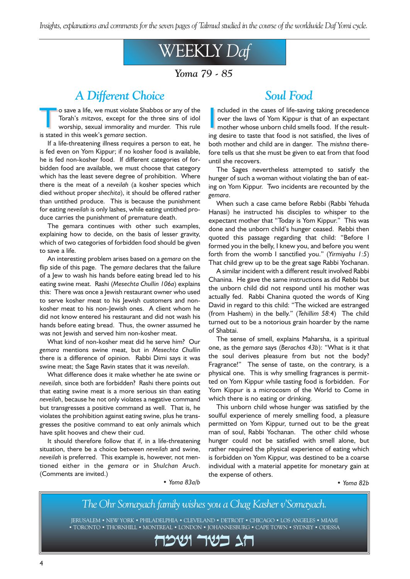Insights, explanations and comments for the seven pages of Talmud studied in the course of the worldwide Daf Yomi cycle.

## WEEKLY Daf

Yoma 79 - 85

## A Different Choice

Io save a life, we must violate Shabbos or any of the Torah's mitzvos, except for the three sins of idol worship, sexual immorality and murder. This rule Torah's mitzvos, except for the three sins of idol worship, sexual immorality and murder. This rule is stated in this week's gemara section.

If a life-threatening illness requires a person to eat, he is fed even on Yom Kippur; if no kosher food is available, he is fed non-kosher food. If different categories of forbidden food are available, we must choose that category which has the least severe degree of prohibition. Where there is the meat of a neveilah (a kosher species which died without proper shechita), it should be offered rather than untithed produce. This is because the punishment for eating neveilah is only lashes, while eating untithed produce carries the punishment of premature death.

The gemara continues with other such examples, explaining how to decide, on the basis of lesser gravity, which of two categories of forbidden food should be given to save a life.

An interesting problem arises based on a gemara on the flip side of this page. The gemara declares that the failure of a Jew to wash his hands before eating bread led to his eating swine meat. Rashi (Mesechta Chullin 106a) explains this: There was once a Jewish restaurant owner who used to serve kosher meat to his Jewish customers and nonkosher meat to his non-Jewish ones. A client whom he did not know entered his restaurant and did not wash his hands before eating bread. Thus, the owner assumed he was not Jewish and served him non-kosher meat.

What kind of non-kosher meat did he serve him? Our gemara mentions swine meat, but in Mesechta Chullin there is a difference of opinion. Rabbi Dimi says it was swine meat; the Sage Ravin states that it was neveilah.

What difference does it make whether he ate swine or neveilah, since both are forbidden? Rashi there points out that eating swine meat is a more serious sin than eating neveilah, because he not only violates a negative command but transgresses a positive command as well. That is, he violates the prohibition against eating swine, plus he transgresses the positive command to eat only animals which have split hooves and chew their cud.

It should therefore follow that if, in a life-threatening situation, there be a choice between neveilah and swine, neveilah is preferred. This example is, however, not mentioned either in the gemara or in Shulchan Aruch. (Comments are invited.) Yoma 83a/b

### Soul Food

I ncluded in the cases of life-saving taking precedence over the laws of Yom Kippur is that of an expectant mother whose unborn child smells food. If the resulting desire to taste that food is not satisfied, the lives of both mother and child are in danger. The mishna therefore tells us that she must be given to eat from that food until she recovers.

The Sages nevertheless attempted to satisfy the hunger of such a woman without violating the ban of eating on Yom Kippur. Two incidents are recounted by the gemara.

When such a case came before Rebbi (Rabbi Yehuda Hanasi) he instructed his disciples to whisper to the expectant mother that "Today is Yom Kippur." This was done and the unborn child's hunger ceased. Rebbi then quoted this passage regarding that child: "Before I formed you in the belly, I knew you, and before you went forth from the womb I sanctified you." (Yirmiyahu  $1:5$ ) That child grew up to be the great sage Rabbi Yochanan.

A similar incident with a different result involved Rabbi Chanina. He gave the same instructions as did Rebbi but the unborn child did not respond until his mother was actually fed. Rabbi Chanina quoted the words of King David in regard to this child: "The wicked are estranged (from Hashem) in the belly." (Tehillim  $58:4$ ) The child turned out to be a notorious grain hoarder by the name of Shabtai.

The sense of smell, explains Maharsha, is a spiritual one, as the gemara says (Berachos 43b): What is it that the soul derives pleasure from but not the body? Fragrance!" The sense of taste, on the contrary, is a physical one. This is why smelling fragrances is permitted on Yom Kippur while tasting food is forbidden. For Yom Kippur is a microcosm of the World to Come in which there is no eating or drinking.

This unborn child whose hunger was satisfied by the soulful experience of merely smelling food, a pleasure permitted on Yom Kippur, turned out to be the great man of soul, Rabbi Yochanan. The other child whose hunger could not be satisfied with smell alone, but rather required the physical experience of eating which is forbidden on Yom Kippur, was destined to be a coarse individual with a material appetite for monetary gain at the expense of others.

Yoma 82b

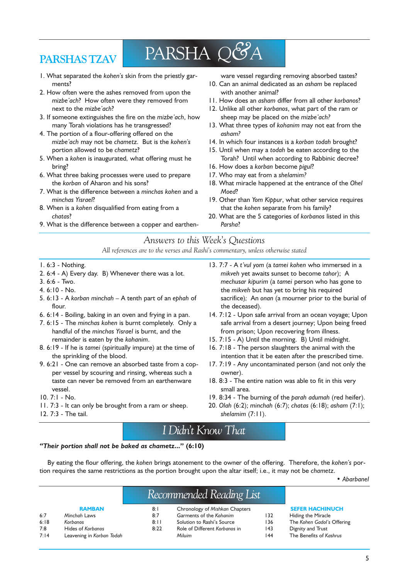## PARSHAS TZAV

## PARSHA Q&A

- 1. What separated the kohen's skin from the priestly garments?
- 2. How often were the ashes removed from upon the mizbe'ach? How often were they removed from next to the mizbe'ach?
- 3. If someone extinguishes the fire on the mizbe'ach, how many Torah violations has he transgressed?
- 4. The portion of a flour-offering offered on the mizbe ach may not be chametz. But is the kohen's portion allowed to be chametz?
- 5. When a kohen is inaugurated, what offering must he bring?
- 6. What three baking processes were used to prepare the korban of Aharon and his sons?
- 7. What is the difference between a minchas kohen and a minchas Yisrael?
- 8. When is a kohen disqualified from eating from a chatas?
- 9. What is the difference between a copper and earthen-

ware vessel regarding removing absorbed tastes?

- 10. Can an animal dedicated as an asham be replaced with another animal?
- 11. How does an asham differ from all other korbanos?
- 12. Unlike all other korbanos, what part of the ram or sheep may be placed on the mizbe'ach?
- 13. What three types of kohanim may not eat from the asham?
- 14. In which four instances is a korban todah brought?
- 15. Until when may a todah be eaten according to the Torah? Until when according to Rabbinic decree?
- 16. How does a korban become pigul?
- 17. Who may eat from a shelamim?
- 18. What miracle happened at the entrance of the Ohel Moed?
- 19. Other than Yom Kippur, what other service requires that the kohen separate from his family?
- 20. What are the 5 categories of korbanos listed in this Parsha?

### Answers to this Week's Questions

All references are to the verses and Rashi's commentary, unless otherwise stated

- 1. 6:3 Nothing.
- 2. 6:4 A) Every day. B) Whenever there was a lot.
- 3. 6:6 Two.
- 4. 6:10 No.
- 5.  $6:13$  A korban minchah  $-$  A tenth part of an ephah of flour.
- 6. 6:14 Boiling, baking in an oven and frying in a pan.
- 7. 6:15 The minchas kohen is burnt completely. Only a handful of the minchas Yisrael is burnt, and the remainder is eaten by the kohanim.
- 8. 6:19 If he is tamei (spiritually impure) at the time of the sprinkling of the blood.
- 9. 6:21 One can remove an absorbed taste from a copper vessel by scouring and rinsing, whereas such a taste can never be removed from an earthenware vessel.
- 10. 7:1 No.
- 11. 7:3 It can only be brought from a ram or sheep.

mikveh yet awaits sunset to become tahor); A mechusar kipurim (a tamei person who has gone to the mikveh but has yet to bring his required sacrifice); An onan (a mourner prior to the burial of the deceased). 14. 7:12 - Upon safe arrival from an ocean voyage; Upon safe arrival from a desert journey; Upon being freed from prison; Upon recovering from illness.

13. 7:7 - A t'vul yom (a tamei kohen who immersed in a

- 15. 7:15 A) Until the morning. B) Until midnight.
- 16. 7:18 The person slaughters the animal with the intention that it be eaten after the prescribed time.
- 17. 7:19 Any uncontaminated person (and not only the owner).
- 18. 8:3 The entire nation was able to fit in this very small area.
- 19. 8:34 The burning of the parah adumah (red heifer).
- 20. Olah (6:2); minchah (6:7); chatas (6:18); asham (7:1); shelamim (7:11).

12. 7:3 - The tail.

## I Didn't Know That

#### "Their portion shall not be baked as chametz..." (6:10)

By eating the flour offering, the kohen brings atonement to the owner of the offering. Therefore, the kohen's portion requires the same restrictions as the portion brought upon the altar itself; i.e., it may not be chametz.

Abarbanel

#### RAMBAN 8:1 Chronology of Mishkan Chapters<br>8:7 Garments of the Kohanim Garments of the Kohanim 132 Hiding the Miracle Recommended Reading List

- 6:7 Minchah Laws 6:18 Korbanos 7:8 Hides of Korbanos
- 7:14 Leavening in Korban Todah
- 8:11 Solution to Rashi's Source 8:22 Role of Different Korbanos in Miluim

#### SEFER HACHINUCH

- 136 The Kohen Gadol's Offering 143 Dignity and Trust
- 144 The Benefits of Kashrus
- 

5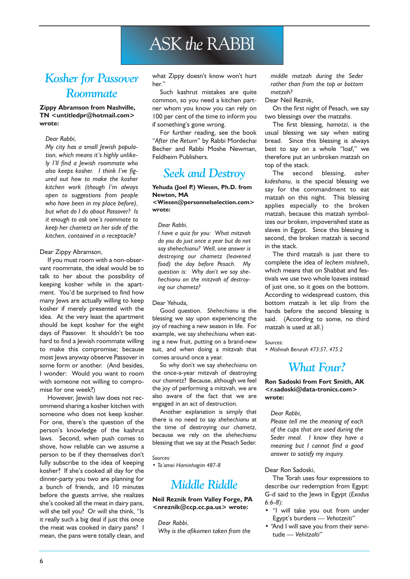## ASK the RABBI

## Kosher for Passover Roommate

#### Zippy Abramson from Nashville, TN <untitledpr@hotmail.com> wrote:

#### Dear Rabbi,

My city has a small Jewish population, which means it's highly unlikely I'll find a Jewish roommate who also keeps kosher. I think Ive figured out how to make the kosher kitchen work (though I'm always open to suggestions from people who have been in my place before), but what do I do about Passover? Is it enough to ask one's roommate to keep her chametz on her side of the kitchen, contained in a receptacle?

#### Dear Zippy Abramson,

If you must room with a non-observant roommate, the ideal would be to talk to her about the possibility of keeping kosher while in the apartment. You'd be surprised to find how many Jews are actually willing to keep kosher if merely presented with the idea. At the very least the apartment should be kept kosher for the eight days of Passover. It shouldn't be too hard to find a Jewish roommate willing to make this compromise; because most Jews anyway observe Passover in some form or another. (And besides, I wonder: Would you want to room with someone not willing to compromise for one week?)

However, Jewish law does not recommend sharing a kosher kitchen with someone who does not keep kosher. For one, there's the question of the person's knowledge of the kashrut laws. Second, when push comes to shove, how reliable can we assume a person to be if they themselves don't fully subscribe to the idea of keeping kosher? If she's cooked all day for the dinner-party you two are planning for a bunch of friends, and 10 minutes before the guests arrive, she realizes she's cooked all the meat in dairy pans, will she tell you? Or will she think, "Is it really such a big deal if just this once the meat was cooked in dairy pans? I mean, the pans were totally clean, and what Zippy doesn't know won't hurt her"

Such kashrut mistakes are quite common, so you need a kitchen partner whom you know you can rely on 100 per cent of the time to inform you if something's gone wrong.

For further reading, see the book "After the Return" by Rabbi Mordechai Becher and Rabbi Moshe Newman, Feldheim Publishers.

### Seek and Destroy

#### Yehuda (Joel P.) Wiesen, Ph.D. from Newton, MA

<Wiesen@personnelselection.com> wrote:

#### Dear Rabbi,

I have a quiz for you: What mitzvah do you do just once a year but do not say shehechianu? Well, one answer is destroying our chametz (leavened food) the day before Pesach. My question is: Why don't we say shehechianu on the mitzvah of destroying our chametz?

#### Dear Yehuda,

Good question. Shehechianu is the blessing we say upon experiencing the joy of reaching a new season in life. For example, we say shehechianu when eating a new fruit, putting on a brand-new suit, and when doing a mitzvah that comes around once a year.

So why don't we say shehechianu on the once-a-year mitzvah of destroying our chametz? Because, although we feel the joy of performing a mitzvah, we are also aware of the fact that we are engaged in an act of destruction.

Another explanation is simply that there is no need to say shehechianu at the time of destroying our chametz, because we rely on the shehechianu blessing that we say at the Pesach Seder.

#### Sources:

• Ta'amei Haminhagim 487-8

## Middle Riddle

#### Neil Reznik from Valley Forge, PA <nreznik@ccp.cc.pa.us> wrote:

Dear Rabbi, Why is the afikomen taken from the middle matzah during the Seder rather than from the top or bottom matzah?

#### Dear Neil Reznik,

On the first night of Pesach, we say two blessings over the matzahs.

The first blessing, hamotzi, is the usual blessing we say when eating bread. Since this blessing is always best to say on a whole "loaf," we therefore put an unbroken matzah on top of the stack.

The second blessing, asher kideshanu, is the special blessing we say for the commandment to eat matzah on this night. This blessing applies especially to the broken matzah, because this matzah symbolizes our broken, impoverished state as slaves in Egypt. Since this blessing is second, the broken matzah is second in the stack.

The third matzah is just there to complete the idea of lechem mishneh, which means that on Shabbat and festivals we use two whole loaves instead of just one, so it goes on the bottom. According to widespread custom, this bottom matzah is let slip from the hands before the second blessing is said. (According to some, no third matzah is used at all.)

Sources:

Mishnah Berurah 473:57, 475:2

### What Four?

Ron Sadoski from Fort Smith, AK <r.sadoski@data-tronics.com> wrote:

#### Dear Rabbi,

Please tell me the meaning of each of the cups that are used during the Seder meal. I know they have a meaning but I cannot find a good answer to satisfy my inquiry.

#### Dear Ron Sadoski,

The Torah uses four expressions to describe our redemption from Egypt: G-d said to the Jews in Egypt (Exodus 6:6-8):

- . "I will take you out from under Egypt's burdens - Vehotzeiti"
- "And I will save you from their servitude — Vehitzalti"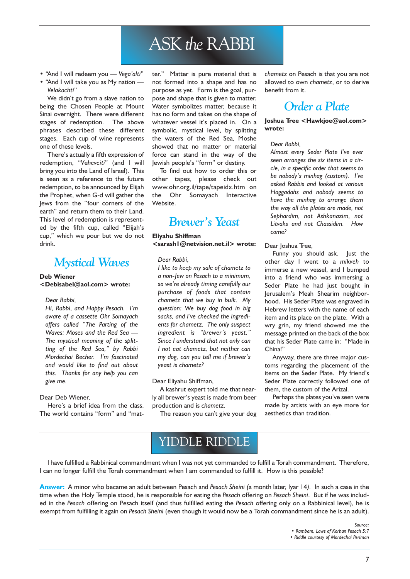## ASK the RABBI

- "And I will redeem you Vega'alti"
- "And I will take you as My nation -Velakachti

We didn't go from a slave nation to being the Chosen People at Mount Sinai overnight. There were different stages of redemption. The above phrases described these different stages. Each cup of wine represents one of these levels.

There's actually a fifth expression of redemption, "Veheveiti" (and I will bring you into the Land of Israel). This is seen as a reference to the future redemption, to be announced by Elijah the Prophet, when G-d will gather the Jews from the "four corners of the earth" and return them to their Land. This level of redemption is represented by the fifth cup, called "Elijah's cup," which we pour but we do not drink.

### Mystical Waves

#### Deb Wiener

<Debisabel@aol.com> wrote:

#### Dear Rabbi,

Hi, Rabbi, and Happy Pesach. I'm aware of a cassette Ohr Somayach offers called "The Parting of the Waves: Moses and the Red Sea The mystical meaning of the splitting of the Red Sea," by Rabbi Mordechai Becher. I'm fascinated and would like to find out about this. Thanks for any help you can give me.

#### Dear Deb Wiener,

Here's a brief idea from the class. The world contains "form" and "matter." Matter is pure material that is not formed into a shape and has no purpose as yet. Form is the goal, purpose and shape that is given to matter. Water symbolizes matter, because it has no form and takes on the shape of whatever vessel it's placed in. On a symbolic, mystical level, by splitting the waters of the Red Sea, Moshe showed that no matter or material force can stand in the way of the Jewish people's "form" or destiny.

To find out how to order this or other tapes, please check out www.ohr.org.il/tape/tapeidx.htm on the Ohr Somayach Interactive Website.

## Brewer's Yeast

#### Eliyahu Shiffman

#### <sarash1@netvision.net.il> wrote:

#### Dear Rabbi,

I like to keep my sale of chametz to a non-Jew on Pesach to a minimum, so we're already timing carefully our purchase of foods that contain chametz that we buy in bulk. My question: We buy dog food in big sacks, and I've checked the ingredients for chametz. The only suspect ingredient is "brewer's yeast." Since I understand that not only can I not eat chametz, but neither can my dog, can you tell me if brewer's yeast is chametz?

#### Dear Eliyahu Shiffman,

A kashrut expert told me that nearly all brewer's yeast is made from beer production and is chametz.

The reason you can't give your dog

chametz on Pesach is that you are not allowed to own chametz, or to derive benefit from it.

## Order a Plate

#### Joshua Tree <Hawkjoe@aol.com> wrote:

#### Dear Rabbi,

Almost every Seder Plate I've ever seen arranges the six items in a circle, in a specific order that seems to be nobody's minhag (custom). I've asked Rabbis and looked at various Haggadahs and nobody seems to have the minhag to arrange them the way all the plates are made, not Sephardim, not Ashkanazim, not Litvaks and not Chassidim. How come?

#### Dear Joshua Tree,

Funny you should ask. Just the other day I went to a mikveh to immerse a new vessel, and I bumped into a friend who was immersing a Seder Plate he had just bought in Jerusalem's Meah Shearim neighborhood. His Seder Plate was engraved in Hebrew letters with the name of each item and its place on the plate. With a wry grin, my friend showed me the message printed on the back of the box that his Seder Plate came in: "Made in China!

Anyway, there are three major customs regarding the placement of the items on the Seder Plate. My friend's Seder Plate correctly followed one of them, the custom of the Arizal.

Perhaps the plates you've seen were made by artists with an eye more for aesthetics than tradition.

## YIDDLE RIDDLE

I have fulfilled a Rabbinical commandment when I was not yet commanded to fulfill a Torah commandment. Therefore, I can no longer fulfill the Torah commandment when I am commanded to fulfill it. How is this possible?

Answer: A minor who became an adult between Pesach and Pesach Sheini (a month later, Iyar 14). In such a case in the time when the Holy Temple stood, he is responsible for eating the Pesach offering on Pesach Sheini. But if he was included in the Pesach offering on Pesach itself (and thus fulfilled eating the Pesach offering only on a Rabbinical level), he is exempt from fulfilling it again on Pesach Sheini (even though it would now be a Torah commandment since he is an adult).

> Source: Rambam, Laws of Korban Pesach 5:7 Riddle courtesy of Mordechai Perlman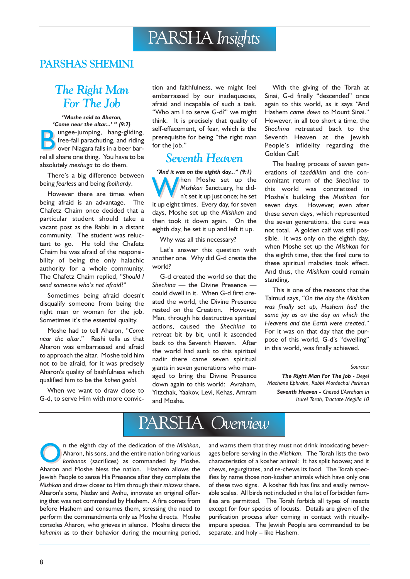### PARSHAS SHEMINI

## The Right Man For The Job

Moshe said to Aharon, 'Come near the altar...' " (9:7) **Bungee-jumping, hang-gliding,<br>free-fall parachuting, and riding<br>over Niagara falls in a beer bar-<br>and all shape of this Markov falls** free-fall parachuting, and riding over Niagara falls in a beer barrel all share one thing. You have to be absolutely meshuga to do them.

There's a big difference between being fearless and being foolhardy.

However there are times when being afraid is an advantage. The Chafetz Chaim once decided that a particular student should take a vacant post as the Rabbi in a distant community. The student was reluctant to go. He told the Chafetz Chaim he was afraid of the responsibility of being the only halachic authority for a whole community. The Chafetz Chaim replied, "Should I send someone who's not afraid?"

Sometimes being afraid doesn't disqualify someone from being the right man or woman for the job. Sometimes it's the essential quality.

Moshe had to tell Aharon, "Come near the altar." Rashi tells us that Aharon was embarrassed and afraid to approach the altar. Moshe told him not to be afraid, for it was precisely Aharon's quality of bashfulness which qualified him to be the kohen gadol.

When we want to draw close to G-d, to serve Him with more conviction and faithfulness, we might feel embarrassed by our inadequacies, afraid and incapable of such a task. "Who am I to serve G-d?" we might think. It is precisely that quality of self-effacement, of fear, which is the prerequisite for being "the right man for the job.

### Seventh Heaven

''And it was on the eighth day..." (9:1) When Moshe set up the<br>
Mishkan Sanctuary, he did-<br>
n't set it up just once; he set Mishkan Sanctuary, he didn't set it up just once; he set it up eight times. Every day, for seven days, Moshe set up the Mishkan and then took it down again. On the eighth day, he set it up and left it up.

Why was all this necessary?

Let's answer this question with another one. Why did G-d create the world?

G-d created the world so that the Sheching  $-$  the Divine Presence  $$ could dwell in it. When G-d first created the world, the Divine Presence rested on the Creation. However, Man, through his destructive spiritual actions, caused the Shechina to retreat bit by bit, until it ascended back to the Seventh Heaven. After the world had sunk to this spiritual nadir there came seven spiritual giants in seven generations who managed to bring the Divine Presence down again to this world: Avraham, Yitzchak, Yaakov, Levi, Kehas, Amram and Moshe.

With the giving of the Torah at Sinai, G-d finally "descended" once again to this world, as it says "And Hashem came down to Mount Sinai." However, in all too short a time, the Shechina retreated back to the Seventh Heaven at the Jewish People's infidelity regarding the Golden Calf.

The healing process of seven generations of tzaddikim and the concomitant return of the Shechina to this world was concretized in Moshe's building the Mishkan for seven days. However, even after these seven days, which represented the seven generations, the cure was not total. A golden calf was still possible. It was only on the eighth day, when Moshe set up the Mishkan for the eighth time, that the final cure to these spiritual maladies took effect. And thus, the Mishkan could remain standing.

This is one of the reasons that the Talmud says, "On the day the Mishkan was finally set up, Hashem had the same joy as on the day on which the Heavens and the Earth were created. For it was on that day that the purpose of this world, G-d's "dwelling" in this world, was finally achieved.

#### Sources:

The Right Man For The Job - Degel Machane Ephraim, Rabbi Mordechai Perlman Seventh Heaven - Chesed L'Avraham in Iturei Torah, Tractate Megilla 10

## PARSHA Overview

n the eighth day of the dedication of the Mishkan, Aharon, his sons, and the entire nation bring various korbanos (sacrifices) as commanded by Moshe. Aharon and Moshe bless the nation. Hashem allows the Jewish People to sense His Presence after they complete the Mishkan and draw closer to Him through their mitzvos there. Aharon's sons, Nadav and Avihu, innovate an original offering that was not commanded by Hashem. A fire comes from before Hashem and consumes them, stressing the need to perform the commandments only as Moshe directs. Moshe consoles Aharon, who grieves in silence. Moshe directs the kohanim as to their behavior during the mourning period,

and warns them that they must not drink intoxicating beverages before serving in the Mishkan. The Torah lists the two characteristics of a kosher animal: It has split hooves; and it chews, regurgitates, and re-chews its food. The Torah specifies by name those non-kosher animals which have only one of these two signs. A kosher fish has fins and easily removable scales. All birds not included in the list of forbidden families are permitted. The Torah forbids all types of insects except for four species of locusts. Details are given of the purification process after coming in contact with rituallyimpure species. The Jewish People are commanded to be separate, and holy - like Hashem.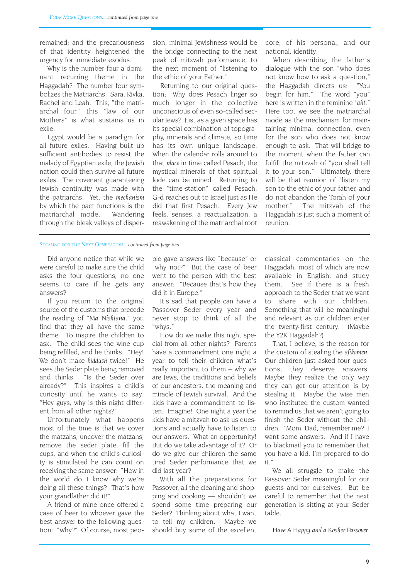remained; and the precariousness of that identity heightened the urgency for immediate exodus.

Why is the number four a dominant recurring theme in the Haggadah? The number four symbolizes the Matriarchs. Sara, Rivka, Rachel and Leah. This, "the matriarchal four." this "law of our Mothers" is what sustains us in exile.

Egypt would be a paradigm for all future exiles. Having built up sufficient antibodies to resist the malady of Egyptian exile, the Jewish nation could then survive all future exiles. The covenant guaranteeing Jewish continuity was made with the patriarchs. Yet, the mechanism by which the pact functions is the matriarchal mode. Wandering through the bleak valleys of dispersion, minimal Jewishness would be the bridge connecting to the next peak of mitzvah performance, to the next moment of "listening to the ethic of your Father.

Returning to our original question: Why does Pesach linger so much longer in the collective unconscious of even so-called secular Jews? Just as a given space has its special combination of topography, minerals and climate, so time has its own unique landscape. When the calendar rolls around to that place in time called Pesach, the mystical minerals of that spiritual lode can be mined. Returning to the "time-station" called Pesach, G-d reaches out to Israel just as He did that first Pesach. Every Jew feels, senses, a reactualization, a reawakening of the matriarchal root core, of his personal, and our national, identity.

When describing the father's dialogue with the son "who does not know how to ask a question, the Haggadah directs us: You begin for him." The word "you" here is written in the feminine "aht." Here too, we see the matriarchal mode as the mechanism for maintaining minimal connection, even for the son who does not know enough to ask. That will bridge to the moment when the father can fulfill the mitzvah of "you shall tell it to your son." Ultimately, there will be that reunion of "listen my son to the ethic of your father, and do not abandon the Torah of your mother." The mitzvah of the Haggadah is just such a moment of reunion.

#### STEALING FOR THE NEXT GENERATION... continued from page two

Did anyone notice that while we were careful to make sure the child asks the four questions, no one seems to care if he gets any answers?

If you return to the original source of the customs that precede the reading of "Ma Nishtana," you find that they all have the same theme: To inspire the children to ask. The child sees the wine cup being refilled, and he thinks: "Hey! We don't make kiddush twice!" He sees the Seder plate being removed and thinks: "Is the Seder over already?" This inspires a child's curiosity until he wants to say: "Hey guys, why is this night different from all other nights?

Unfortunately what happens most of the time is that we cover the matzahs, uncover the matzahs, remove the seder plate, fill the cups, and when the child's curiosity is stimulated he can count on receiving the same answer: "How in the world do I know why we're doing all these things? That's how your grandfather did it!

A friend of mine once offered a case of beer to whoever gave the best answer to the following question: "Why?" Of course, most people gave answers like "because" or "why not?" But the case of beer went to the person with the best answer: "Because that's how they did it in Europe.

It's sad that people can have a Passover Seder every year and never stop to think of all the "whys."

How do we make this night special from all other nights? Parents have a commandment one night a year to tell their children what's really important to them  $-$  why we are Jews, the traditions and beliefs of our ancestors, the meaning and miracle of Jewish survival. And the kids have a commandment to listen. Imagine! One night a year the kids have a mitzvah to ask us questions and actually have to listen to our answers. What an opportunity! But do we take advantage of it? Or do we give our children the same tired Seder performance that we did last year?

With all the preparations for Passover, all the cleaning and shopping and cooking  $-$  shouldn't we spend some time preparing our Seder? Thinking about what I want to tell my children. Maybe we should buy some of the excellent classical commentaries on the Haggadah, most of which are now available in English, and study them. See if there is a fresh approach to the Seder that we want to share with our children. Something that will be meaningful and relevant as our children enter the twenty-first century. (Maybe the Y2K Haggadah?)

That, I believe, is the reason for the custom of stealing the afikomen. Our children just asked four questions; they deserve answers. Maybe they realize the only way they can get our attention is by stealing it. Maybe the wise men who instituted the custom wanted to remind us that we aren't going to finish the Seder without the children. Mom, Dad, remember me? I want some answers. And if I have to blackmail you to remember that you have a kid, I'm prepared to do it.

We all struggle to make the Passover Seder meaningful for our guests and for ourselves. But be careful to remember that the next generation is sitting at your Seder table.

Have A Happy and a Kosher Passover.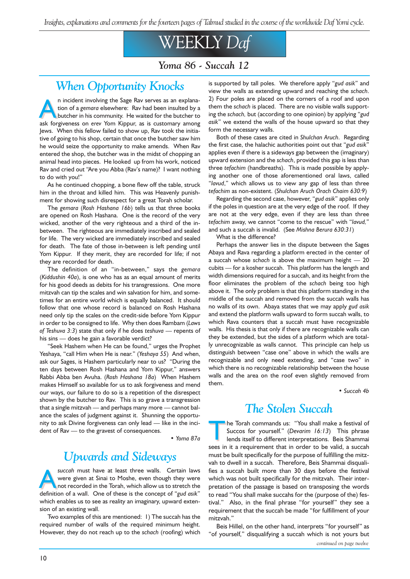Insights, explanations and comments for the fourteen pages of Talmud studied in the course of the worldwide Daf Yomi cycle.

## WEEKLY Daf

Yoma 86 - Succah 12

## When Opportunity Knocks

n incident involving the Sage Rav serves as an explana-<br>tion of a gemara elsewhere: Rav had been insulted by a<br>butcher in his community. He waited for the butcher to<br>ask forgiveness on erey Yom Kinnur, as is customary amon tion of a gemara elsewhere: Rav had been insulted by a butcher in his community. He waited for the butcher to ask forgiveness on erev Yom Kippur, as is customary among Jews. When this fellow failed to show up, Rav took the initiative of going to his shop, certain that once the butcher saw him he would seize the opportunity to make amends. When Rav entered the shop, the butcher was in the midst of chopping an animal head into pieces. He looked up from his work, noticed Rav and cried out "Are you Abba (Rav's name)? I want nothing to do with you!

As he continued chopping, a bone flew off the table, struck him in the throat and killed him. This was Heavenly punishment for showing such disrespect for a great Torah scholar.

The gemara (Rosh Hashana 16b) tells us that three books are opened on Rosh Hashana. One is the record of the very wicked, another of the very righteous and a third of the inbetween. The righteous are immediately inscribed and sealed for life. The very wicked are immediately inscribed and sealed for death. The fate of those in-between is left pending until Yom Kippur. If they merit, they are recorded for life; if not they are recorded for death.

The definition of an "in-between," says the gemara (Kiddushin 40a), is one who has as an equal amount of merits for his good deeds as debits for his transgressions. One more mitzvah can tip the scales and win salvation for him, and sometimes for an entire world which is equally balanced. It should follow that one whose record is balanced on Rosh Hashana need only tip the scales on the credit-side before Yom Kippur in order to be consigned to life. Why then does Rambam (Laws of Teshuva  $3:3$ ) state that only if he does teshuva  $-$  repents of his sins  $-$  does he gain a favorable verdict?

"Seek Hashem when He can be found," urges the Prophet Yeshaya, "call Him when He is near." (Yeshaya 55) And when, ask our Sages, is Hashem particularly near to us? "During the ten days between Rosh Hashana and Yom Kippur," answers Rabbi Abba ben Avuha. (Rosh Hashana 18a) When Hashem makes Himself so available for us to ask forgiveness and mend our ways, our failure to do so is a repetition of the disrespect shown by the butcher to Rav. This is so grave a transgression that a single mitzvah  $-$  and perhaps many more  $-$  cannot balance the scales of judgment against it. Shunning the opportunity to ask Divine forgiveness can only lead - like in the incident of  $\text{Rav}$  — to the gravest of consequences.

Yoma 87a

## Upwards and Sideways

succah must have at least three walls. Certain laws<br>were given at Sinai to Moshe, even though they were<br>not recorded in the Torah, which allow us to stretch the<br>definition of a wall. One of these is the concent of "gud gsi were given at Sinai to Moshe, even though they were definition of a wall. One of these is the concept of "gud asik" which enables us to see as reality an imaginary, upward extension of an existing wall.

Two examples of this are mentioned: 1) The succah has the required number of walls of the required minimum height. However, they do not reach up to the schach (roofing) which is supported by tall poles. We therefore apply "gud asik" and view the walls as extending upward and reaching the schach. 2) Four poles are placed on the corners of a roof and upon them the schach is placed. There are no visible walls supporting the schach, but (according to one opinion) by applying "gud asik" we extend the walls of the house upward so that they form the necessary walls.

Both of these cases are cited in Shulchan Aruch. Regarding the first case, the halachic authorities point out that "gud asik" applies even if there is a sideways gap between the (imaginary) upward extension and the schach, provided this gap is less than three tefachim (handbreaths). This is made possible by applying another one of those aforementioned oral laws, called "lavud," which allows us to view any gap of less than three tefachim as non-existent. (Shulchan Aruch Orach Chaim 630:9)

Regarding the second case, however, "gud asik" applies only if the poles in question are at the very edge of the roof. If they are not at the very edge, even if they are less than three tefachim away, we cannot "come to the rescue" with "lavud," and such a succah is invalid. (See Mishna Berura 630:31)

What is the difference?

Perhaps the answer lies in the dispute between the Sages Abaya and Rava regarding a platform erected in the center of a succah whose schach is above the maximum height  $-20$ cubits - for a kosher succah. This platform has the length and width dimensions required for a succah, and its height from the floor eliminates the problem of the schach being too high above it. The only problem is that this platform standing in the middle of the succah and removed from the succah walls has no walls of its own. Abaya states that we may apply gud asik and extend the platform walls upward to form succah walls, to which Rava counters that a succah must have recognizable walls. His thesis is that only if there are recognizable walls can they be extended, but the sides of a platform which are totally unrecognizable as walls cannot. This principle can help us distinguish between "case one" above in which the walls are recognizable and only need extending, and "case two" in which there is no recognizable relationship between the house walls and the area on the roof even slightly removed from them.

Succah 4b

## The Stolen Succah

The Torah commands us: "You shall make a festival of<br>Succos for yourself." (Devarim 16:13) This phrase<br>lends itself to different interpretations. Beis Shammai Succos for yourself." (Devarim 16:13) This phrase lends itself to different interpretations. Beis Shammai sees in it a requirement that in order to be valid, a succah must be built specifically for the purpose of fulfilling the mitzvah to dwell in a succah. Therefore, Beis Shammai disqualifies a succah built more than 30 days before the festival which was not built specifically for the mitzvah. Their interpretation of the passage is based on transposing the words to read "You shall make succahs for the (purpose of the) festival." Also, in the final phrase "for yourself" they see a requirement that the succah be made "for fulfillment of your mitzvah.

Beis Hillel, on the other hand, interprets "for yourself" as "of yourself," disqualifying a succah which is not yours but continued on page twelve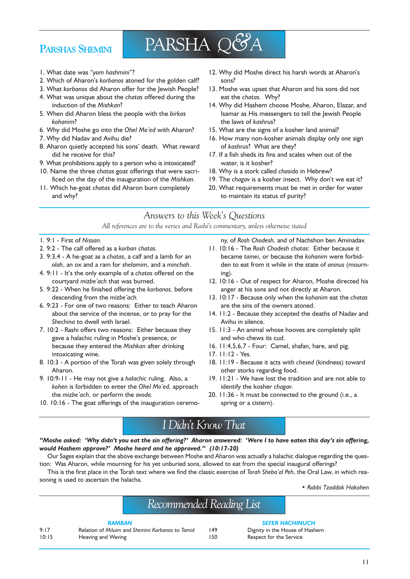### PARSHAS SHEMINI

## PARSHA Q&A

- 1. What date was "yom hashmini"?
- 2. Which of Aharon's korbanos atoned for the golden calf?
- 3. What korbanos did Aharon offer for the Jewish People?
- 4. What was unique about the chatas offered during the induction of the Mishkan?
- 5. When did Aharon bless the people with the birkas kohanim?
- 6. Why did Moshe go into the Ohel Mo'ed with Aharon?
- 7. Why did Nadav and Avihu die?
- 8. Aharon quietly accepted his sons' death. What reward did he receive for this?
- 9. What prohibitions apply to a person who is intoxicated?
- 10. Name the three chatas goat offerings that were sacrificed on the day of the inauguration of the Mishkan.
- 11. Which he-goat chatas did Aharon burn completely and why?
- 12. Why did Moshe direct his harsh words at Aharon's sons?
- 13. Moshe was upset that Aharon and his sons did not eat the chatas. Why?
- 14. Why did Hashem choose Moshe, Aharon, Elazar, and Isamar as His messengers to tell the Jewish People the laws of kashrus?
- 15. What are the signs of a kosher land animal?
- 16. How many non-kosher animals display only one sign of kashrus? What are they?
- 17. If a fish sheds its fins and scales when out of the water, is it kosher?
- 18. Why is a stork called chasida in Hebrew?
- 19. The chagav is a kosher insect. Why don't we eat it?
- 20. What requirements must be met in order for water to maintain its status of purity?

#### Answers to this Week's Questions

All references are to the verses and Rashi's commentary, unless otherwise stated

- 1. 9:1 First of Nissan.
- 2. 9:2 The calf offered as a korban chatas.
- 3. 9:3,4 A he-goat as a chatas, a calf and a lamb for an olah, an ox and a ram for shelamim, and a minchah.
- 4. 9:11 It's the only example of a chatas offered on the courtyard mizbe'ach that was burned.
- 5. 9:22 When he finished offering the korbanos, before descending from the mizbe'ach.
- 6. 9:23 For one of two reasons: Either to teach Aharon about the service of the incense, or to pray for the Shechina to dwell with Israel.
- 7. 10:2 Rashi offers two reasons: Either because they gave a halachic ruling in Moshe's presence, or because they entered the Mishkan after drinking intoxicating wine.
- 8. 10:3 A portion of the Torah was given solely through Aharon.
- 9. 10:9-11 He may not give a halachic ruling. Also, a kohen is forbidden to enter the Ohel Mo'ed, approach the mizbe'ach, or perform the avoda.
- 10. 10:16 The goat offerings of the inauguration ceremo-

ny, of Rosh Chodesh, and of Nachshon ben Aminadav.

- 11. 10:16 The Rosh Chodesh chatas: Either because it became tamei, or because the kohanim were forbidden to eat from it while in the state of aninus (mourn $in \sigma$ ).
- 12. 10:16 Out of respect for Aharon, Moshe directed his anger at his sons and not directly at Aharon.
- 13. 10:17 Because only when the kohanim eat the chatas are the sins of the owners atoned.
- 14. 11:2 Because they accepted the deaths of Nadav and Avihu in silence.
- 15. 11:3 An animal whose hooves are completely split and who chews its cud.
- 16. 11:4,5,6,7 Four: Camel, shafan, hare, and pig.
- 17. 11:12 Yes.
- 18. 11:19 Because it acts with chesed (kindness) toward other storks regarding food.
- 19. 11:21 We have lost the tradition and are not able to identify the kosher chagav.
- 20. 11:36 It must be connected to the ground (i.e., a spring or a cistern).

## I Didnt Know That

"Moshe asked: 'Why didn't you eat the sin offering?' Aharon answered: 'Were I to have eaten this day's sin offering, would Hashem approve?' Moshe heard and he approved." (10:17-20)

Our Sages explain that the above exchange between Moshe and Aharon was actually a halachic dialogue regarding the question: Was Aharon, while mourning for his yet unburied sons, allowed to eat from the special inaugural offerings?

This is the first place in the Torah text where we find the classic exercise of Torah Sheba'al Peh, the Oral Law, in which reasoning is used to ascertain the halacha.

Rabbi Tzaddok Hakohen

## Recommended Reading List

#### **RAMBAN**

9:17 Relation of Miluim and Shemini Korbanos to Tamid 10:15 Heaving and Waving

#### **SEFER HACHINUCH**

149 Dignity in the House of Hashem 150 Respect for the Service